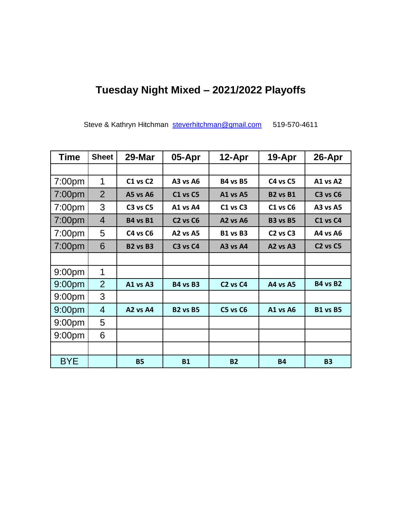## **Tuesday Night Mixed – 2021/2022 Playoffs**

Steve & Kathryn Hitchman [steverhitchman@gmail.com](mailto:steverhitchman@gmail.com) 519-570-4611

| <b>Time</b>        | <b>Sheet</b>   | 29-Mar          | 05-Apr                           | 12-Apr                           | 19-Apr                           | 26-Apr                           |
|--------------------|----------------|-----------------|----------------------------------|----------------------------------|----------------------------------|----------------------------------|
|                    |                |                 |                                  |                                  |                                  |                                  |
| 7:00pm             | 1              | C1 vs C2        | <b>A3 vs A6</b>                  | <b>B4 vs B5</b>                  | C4 vs C5                         | A1 vs A2                         |
| 7:00pm             | $\overline{2}$ | <b>A5 vs A6</b> | <b>C1 vs C5</b>                  | A1 vs A5                         | <b>B2 vs B1</b>                  | C3 vs C6                         |
| 7:00pm             | 3              | C3 vs C5        | A1 vs A4                         | C1 vs C3                         | <b>C1 vs C6</b>                  | <b>A3 vs A5</b>                  |
| 7:00 <sub>pm</sub> | $\overline{4}$ | <b>B4 vs B1</b> | C <sub>2</sub> vs C <sub>6</sub> | <b>A2 vs A6</b>                  | <b>B3 vs B5</b>                  | C1 vs C4                         |
| 7:00pm             | 5              | C4 vs C6        | <b>A2 vs A5</b>                  | <b>B1 vs B3</b>                  | C <sub>2</sub> vs C <sub>3</sub> | A4 vs A6                         |
| 7:00 <sub>pm</sub> | 6              | <b>B2 vs B3</b> | C3 vs C4                         | A3 vs A4                         | A2 vs A3                         | C <sub>2</sub> vs C <sub>5</sub> |
|                    |                |                 |                                  |                                  |                                  |                                  |
| 9:00 <sub>pm</sub> | 1              |                 |                                  |                                  |                                  |                                  |
| 9:00 <sub>pm</sub> | $\overline{2}$ | A1 vs A3        | <b>B4 vs B3</b>                  | C <sub>2</sub> vs C <sub>4</sub> | A4 vs A5                         | <b>B4 vs B2</b>                  |
| 9:00 <sub>pm</sub> | 3              |                 |                                  |                                  |                                  |                                  |
| 9:00 <sub>pm</sub> | 4              | A2 vs A4        | <b>B2 vs B5</b>                  | <b>C5 vs C6</b>                  | A1 vs A6                         | <b>B1 vs B5</b>                  |
| 9:00 <sub>pm</sub> | 5              |                 |                                  |                                  |                                  |                                  |
| 9:00 <sub>pm</sub> | 6              |                 |                                  |                                  |                                  |                                  |
|                    |                |                 |                                  |                                  |                                  |                                  |
| <b>BYE</b>         |                | <b>B5</b>       | <b>B1</b>                        | <b>B2</b>                        | <b>B4</b>                        | <b>B3</b>                        |